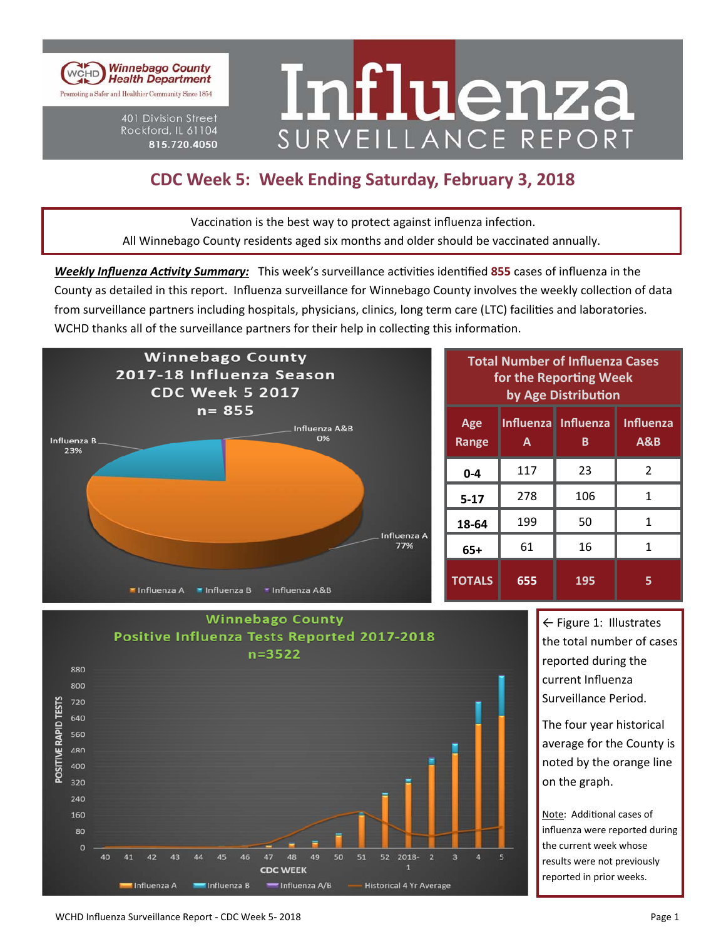

401 Division Street Rockford, IL 61104 815.720.4050

# Influenza SURVEILLANCE REPORT

## **CDC Week 5: Week Ending Saturday, February 3, 2018**

Vaccination is the best way to protect against influenza infection. All Winnebago County residents aged six months and older should be vaccinated annually.

*Weekly Influenza Activity Summary:* This week's surveillance activities identified 855 cases of influenza in the County as detailed in this report. Influenza surveillance for Winnebago County involves the weekly collection of data from surveillance partners including hospitals, physicians, clinics, long term care (LTC) facilities and laboratories. WCHD thanks all of the surveillance partners for their help in collecting this information.



| <b>Total Number of Influenza Cases</b><br>for the Reporting Week<br>by Age Distribution |     |                          |                                    |  |  |  |  |
|-----------------------------------------------------------------------------------------|-----|--------------------------|------------------------------------|--|--|--|--|
| Age<br><b>Range</b>                                                                     | A   | Influenza Influenza<br>В | <b>Influenza</b><br><b>A&amp;B</b> |  |  |  |  |
| $0 - 4$                                                                                 | 117 | 23                       | $\mathfrak{p}$                     |  |  |  |  |
| $5 - 17$                                                                                | 278 | 106                      | 1                                  |  |  |  |  |
| 18-64                                                                                   | 199 | 50                       | 1                                  |  |  |  |  |
| 65+                                                                                     | 61  | 16                       | 1                                  |  |  |  |  |
| <b>TOTALS</b>                                                                           | 655 | 195                      | 5                                  |  |  |  |  |



← Figure 1: Illustrates the total number of cases reported during the current Influenza Surveillance Period.

The four year historical average for the County is noted by the orange line on the graph.

Note: Additional cases of influenza were reported during the current week whose results were not previously reported in prior weeks.

#### WCHD Influenza Surveillance Report ‐ CDC Week 5‐ 2018 Page 1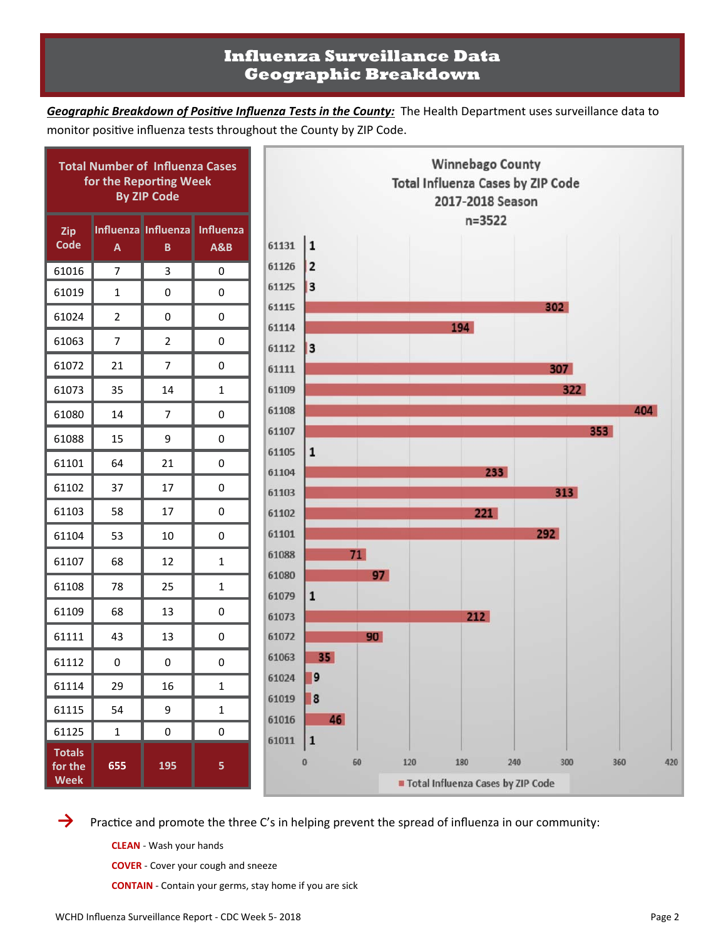## **Influenza Surveillance Data Geographic Breakdown**

Geographic Breakdown of Positive Influenza Tests in the County: The Health Department uses surveillance data to monitor positive influenza tests throughout the County by ZIP Code.



→ Practice and promote the three C's in helping prevent the spread of influenza in our community:

**CLEAN** ‐ Wash your hands

**COVER** ‐ Cover your cough and sneeze

**CONTAIN** ‐ Contain your germs, stay home if you are sick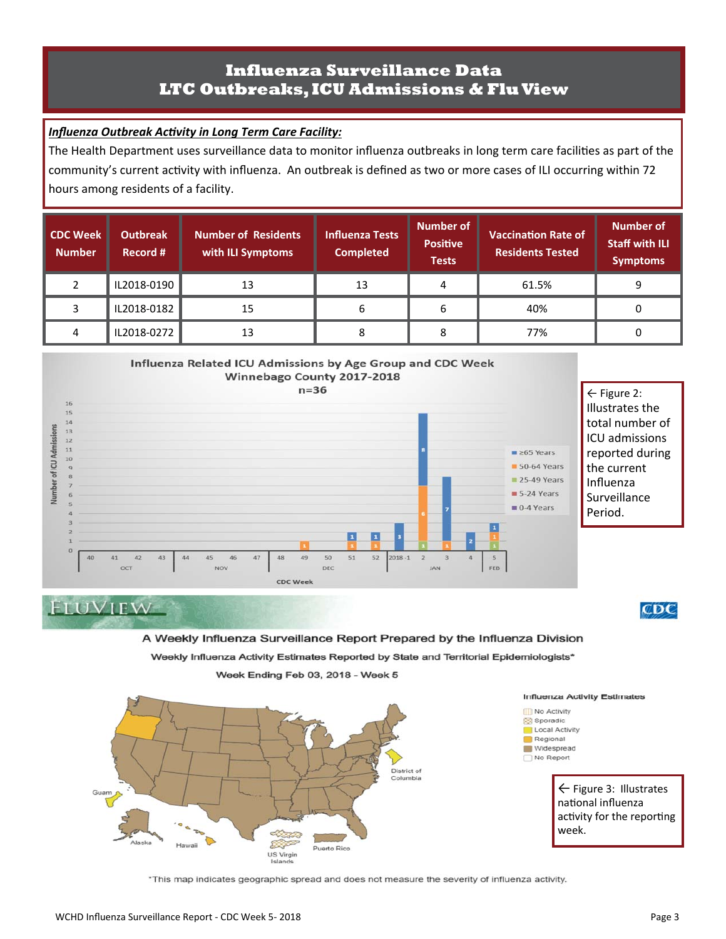### **Influenza Surveillance Data LTC Outbreaks, ICU Admissions & Flu View**

#### **Influenza Outbreak Activity in Long Term Care Facility:**

The Health Department uses surveillance data to monitor influenza outbreaks in long term care facilities as part of the community's current activity with influenza. An outbreak is defined as two or more cases of ILI occurring within 72 hours among residents of a facility.

| <b>CDC Week</b><br><b>Number</b> | Outbreak<br>Record # | <b>Number of Residents</b><br>with ILI Symptoms | Influenza Tests<br><b>Completed</b> | <b>Number of</b><br><b>Positive</b><br><b>Tests</b> | <b>Vaccination Rate of</b><br><b>Residents Tested</b> | Number of<br><b>Staff with ILI</b><br><b>Symptoms</b> |
|----------------------------------|----------------------|-------------------------------------------------|-------------------------------------|-----------------------------------------------------|-------------------------------------------------------|-------------------------------------------------------|
|                                  | IL2018-0190          | 13                                              | 13                                  | 4                                                   | 61.5%                                                 | 9                                                     |
|                                  | IL2018-0182          | 15                                              | 6                                   | 6                                                   | 40%                                                   | 0                                                     |
| 4                                | IL2018-0272          | 13                                              | 8                                   |                                                     | 77%                                                   | 0                                                     |





Week Ending Feb 03, 2018 - Week 5



\*This map indicates geographic spread and does not measure the severity of influenza activity.